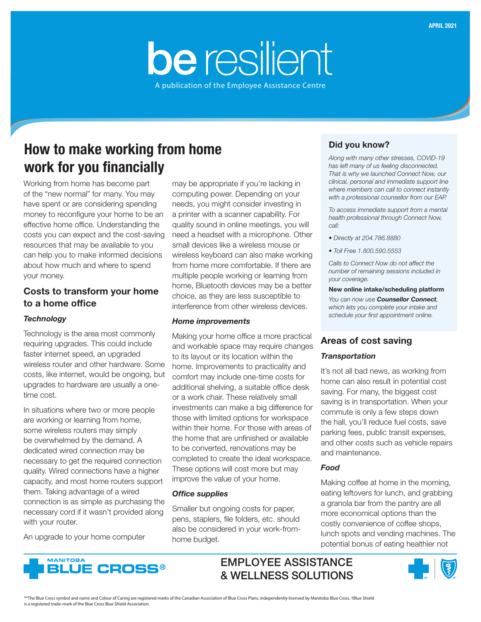# be resilient A publication of the Employee Assistance Centre

How to make working from home work for you financially

Working from home has become part of the "new normal" for many. You may have spent or are considering spending money to reconfigure your home to be an effective home office. Understanding the costs you can expect and the cost-saving resources that may be available to you can help you to make informed decisions about how much and where to spend your money.

# Costs to transform your home to a home office

#### *Technology*

Technology is the area most commonly requiring upgrades. This could include faster internet speed, an upgraded wireless router and other hardware. Some costs, like internet, would be ongoing, but upgrades to hardware are usually a onetime cost.

In situations where two or more people are working or learning from home, some wireless routers may simply be overwhelmed by the demand. A dedicated wired connection may be necessary to get the required connection quality. Wired connections have a higher capacity, and most home routers support them. Taking advantage of a wired connection is as simple as purchasing the necessary cord if it wasn't provided along with your router.

An upgrade to your home computer

may be appropriate if you're lacking in computing power. Depending on your needs, you might consider investing in a printer with a scanner capability. For quality sound in online meetings, you will need a headset with a microphone. Other small devices like a wireless mouse or wireless keyboard can also make working from home more comfortable. If there are multiple people working or learning from home, Bluetooth devices may be a better choice, as they are less susceptible to interference from other wireless devices.

#### *Home improvements*

Making your home office a more practical and workable space may require changes to its layout or its location within the home. Improvements to practicality and comfort may include one-time costs for additional shelving, a suitable office desk or a work chair. These relatively small investments can make a big difference for those with limited options for workspace within their home. For those with areas of the home that are unfinished or available to be converted, renovations may be completed to create the ideal workspace. These options will cost more but may improve the value of your home.

#### *Office supplies*

Smaller but ongoing costs for paper, pens, staplers, file folders, etc. should also be considered in your work-fromhome budget.

# Did you know?

*Along with many other stresses, COVID-19 has left many of us feeling disconnected. That is why we launched Connect Now, our clinical, personal and immediate support line where members can call to connect instantly with a professional counsellor from our EAP.*

*To access immediate support from a mental health professional through Connect Now, call:*

- *Directly at 204.786.8880*
- *Toll Free 1.800.590.5553*

*Calls to Connect Now do not affect the number of remaining sessions included in your coverage.* 

#### New online intake/scheduling platform

*You can now use Counsellor Connect, which lets you complete your intake and schedule your first appointment online.*

## Areas of cost saving

#### *Transportation*

It's not all bad news, as working from home can also result in potential cost saving. For many, the biggest cost saving is in transportation. When your commute is only a few steps down the hall, you'll reduce fuel costs, save parking fees, public transit expenses, and other costs such as vehicle repairs and maintenance.

#### *Food*

Making coffee at home in the morning, eating leftovers for lunch, and grabbing a granola bar from the pantry are all more economical options than the costly convenience of coffee shops, lunch spots and vending machines. The potential bonus of eating healthier not



EMPLOYEE ASSISTANCE & WELLNESS SOLUTIONS



®\*The Blue Cross symbol and name and Colour of Caring are registered marks of the Canadian Association of Blue Cross Plans, independently licensed by Manitoba Blue Cross. †Blue Shield is a registered trade-mark of the Blue Cross Blue Shield Association.